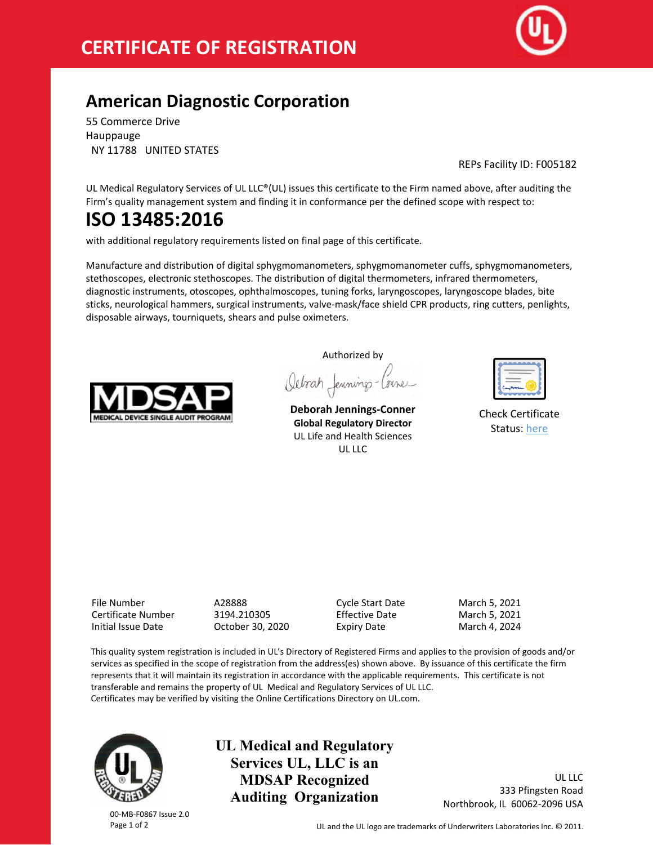

## **American Diagnostic Corporation**

55 Commerce Drive Hauppauge NY 11788 UNITED STATES

REPs Facility ID: F005182

UL Medical Regulatory Services of UL LLC®(UL) issues this certificate to the Firm named above, after auditing the Firm's quality management system and finding it in conformance per the defined scope with respect to:

# **ISO 13485:2016**

with additional regulatory requirements listed on final page of this certificate.

Manufacture and distribution of digital sphygmomanometers, sphygmomanometer cuffs, sphygmomanometers, stethoscopes, electronic stethoscopes. The distribution of digital thermometers, infrared thermometers, diagnostic instruments, otoscopes, ophthalmoscopes, tuning forks, laryngoscopes, laryngoscope blades, bite sticks, neurological hammers, surgical instruments, valve-mask/face shield CPR products, ring cutters, penlights, disposable airways, tourniquets, shears and pulse oximeters.



Authorized by Octorat Jennings-Corner

**Deborah Jennings-Conner Global Regulatory Director** UL Life and Health Sciences UL LLC

| ست<br>m |
|---------|

Check Certificate Status: [here](http://database.ul.com/certs/AZBA.A28888.pdf)

File Number A28888 Cycle Start Date March 5, 2021 Certificate Number 3194.210305 Effective Date March 5, 2021 Initial Issue Date October 30, 2020 Expiry Date March 4, 2024

This quality system registration is included in UL's Directory of Registered Firms and applies to the provision of goods and/or services as specified in the scope of registration from the address(es) shown above. By issuance of this certificate the firm represents that it will maintain its registration in accordance with the applicable requirements. This certificate is not transferable and remains the property of UL Medical and Regulatory Services of UL LLC. Certificates may be verified by visiting the Online Certifications Directory on UL.com.



**UL Medical and Regulatory Services UL, LLC is an MDSAP Recognized Auditing Organization**

UL LLC 333 Pfingsten Road Northbrook, IL 60062-2096 USA